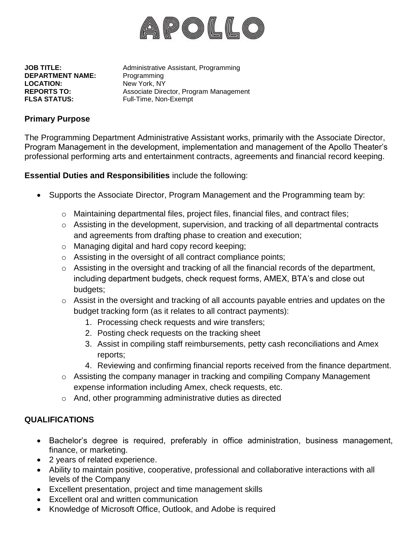

**DEPARTMENT NAME:** Programming LOCATION: New York, NY **FLSA STATUS:** Full-Time, Non-Exempt

**JOB TITLE:** Administrative Assistant, Programming **REPORTS TO:** Associate Director, Program Management

## **Primary Purpose**

The Programming Department Administrative Assistant works, primarily with the Associate Director, Program Management in the development, implementation and management of the Apollo Theater's professional performing arts and entertainment contracts, agreements and financial record keeping.

**Essential Duties and Responsibilities** include the following:

- Supports the Associate Director, Program Management and the Programming team by:
	- o Maintaining departmental files, project files, financial files, and contract files;
	- o Assisting in the development, supervision, and tracking of all departmental contracts and agreements from drafting phase to creation and execution;
	- o Managing digital and hard copy record keeping;
	- o Assisting in the oversight of all contract compliance points;
	- $\circ$  Assisting in the oversight and tracking of all the financial records of the department, including department budgets, check request forms, AMEX, BTA's and close out budgets;
	- o Assist in the oversight and tracking of all accounts payable entries and updates on the budget tracking form (as it relates to all contract payments):
		- 1. Processing check requests and wire transfers;
		- 2. Posting check requests on the tracking sheet
		- 3. Assist in compiling staff reimbursements, petty cash reconciliations and Amex reports;
		- 4. Reviewing and confirming financial reports received from the finance department.
	- $\circ$  Assisting the company manager in tracking and compiling Company Management expense information including Amex, check requests, etc.
	- o And, other programming administrative duties as directed

## **QUALIFICATIONS**

- Bachelor's degree is required, preferably in office administration, business management, finance, or marketing.
- 2 years of related experience.
- Ability to maintain positive, cooperative, professional and collaborative interactions with all levels of the Company
- Excellent presentation, project and time management skills
- Excellent oral and written communication
- Knowledge of Microsoft Office, Outlook, and Adobe is required